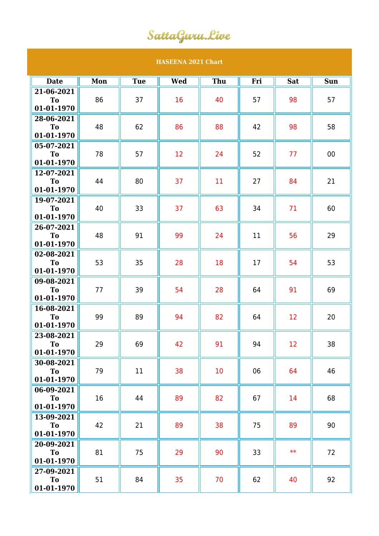## SattaGuru.Live

| <b>HASEENA 2021 Chart</b>    |     |            |            |     |     |            |            |  |  |  |  |
|------------------------------|-----|------------|------------|-----|-----|------------|------------|--|--|--|--|
| <b>Date</b>                  | Mon | <b>Tue</b> | <b>Wed</b> | Thu | Fri | <b>Sat</b> | <b>Sun</b> |  |  |  |  |
| 21-06-2021                   |     |            |            |     |     |            |            |  |  |  |  |
| T <sub>o</sub>               | 86  | 37         | 16         | 40  | 57  | 98         | 57         |  |  |  |  |
| 01-01-1970                   |     |            |            |     |     |            |            |  |  |  |  |
| 28-06-2021                   |     |            |            |     |     |            |            |  |  |  |  |
| To                           | 48  | 62         | 86         | 88  | 42  | 98         | 58         |  |  |  |  |
| 01-01-1970                   |     |            |            |     |     |            |            |  |  |  |  |
| 05-07-2021                   |     |            |            |     |     |            |            |  |  |  |  |
| T <sub>o</sub><br>01-01-1970 | 78  | 57         | 12         | 24  | 52  | 77         | 00         |  |  |  |  |
| 12-07-2021                   |     |            |            |     |     |            |            |  |  |  |  |
| <b>To</b>                    | 44  | 80         | 37         | 11  | 27  | 84         | 21         |  |  |  |  |
| 01-01-1970                   |     |            |            |     |     |            |            |  |  |  |  |
| 19-07-2021                   |     |            |            |     |     |            |            |  |  |  |  |
| To                           | 40  | 33         | 37         | 63  | 34  | 71         | 60         |  |  |  |  |
| 01-01-1970                   |     |            |            |     |     |            |            |  |  |  |  |
| 26-07-2021                   |     |            |            |     |     |            |            |  |  |  |  |
| To                           | 48  | 91         | 99         | 24  | 11  | 56         | 29         |  |  |  |  |
| 01-01-1970                   |     |            |            |     |     |            |            |  |  |  |  |
| 02-08-2021                   |     |            |            |     |     |            |            |  |  |  |  |
| To                           | 53  | 35         | 28         | 18  | 17  | 54         | 53         |  |  |  |  |
| 01-01-1970                   |     |            |            |     |     |            |            |  |  |  |  |
| 09-08-2021<br>To             | 77  | 39         | 54         | 28  | 64  | 91         | 69         |  |  |  |  |
| 01-01-1970                   |     |            |            |     |     |            |            |  |  |  |  |
| 16-08-2021                   |     |            |            |     |     |            |            |  |  |  |  |
| <b>To</b>                    | 99  | 89         | 94         | 82  | 64  | 12         | 20         |  |  |  |  |
| 01-01-1970                   |     |            |            |     |     |            |            |  |  |  |  |
| 23-08-2021                   |     |            |            |     |     |            |            |  |  |  |  |
| To                           | 29  | 69         | 42         | 91  | 94  | 12         | 38         |  |  |  |  |
| 01-01-1970                   |     |            |            |     |     |            |            |  |  |  |  |
| 30-08-2021                   |     |            |            |     |     |            |            |  |  |  |  |
| To                           | 79  | 11         | 38         | 10  | 06  | 64         | 46         |  |  |  |  |
| 01-01-1970                   |     |            |            |     |     |            |            |  |  |  |  |
| 06-09-2021                   |     |            |            |     |     |            |            |  |  |  |  |
| To<br>01-01-1970             | 16  | 44         | 89         | 82  | 67  | 14         | 68         |  |  |  |  |
| 13-09-2021                   |     |            |            |     |     |            |            |  |  |  |  |
| <b>To</b>                    | 42  | 21         | 89         | 38  | 75  | 89         | 90         |  |  |  |  |
| 01-01-1970                   |     |            |            |     |     |            |            |  |  |  |  |
| 20-09-2021                   |     |            |            |     |     |            |            |  |  |  |  |
| To                           | 81  | 75         | 29         | 90  | 33  | $**$       | 72         |  |  |  |  |
| 01-01-1970                   |     |            |            |     |     |            |            |  |  |  |  |
| 27-09-2021                   |     |            |            |     |     |            |            |  |  |  |  |
| To                           | 51  | 84         | 35         | 70  | 62  | 40         | 92         |  |  |  |  |
| 01-01-1970                   |     |            |            |     |     |            |            |  |  |  |  |